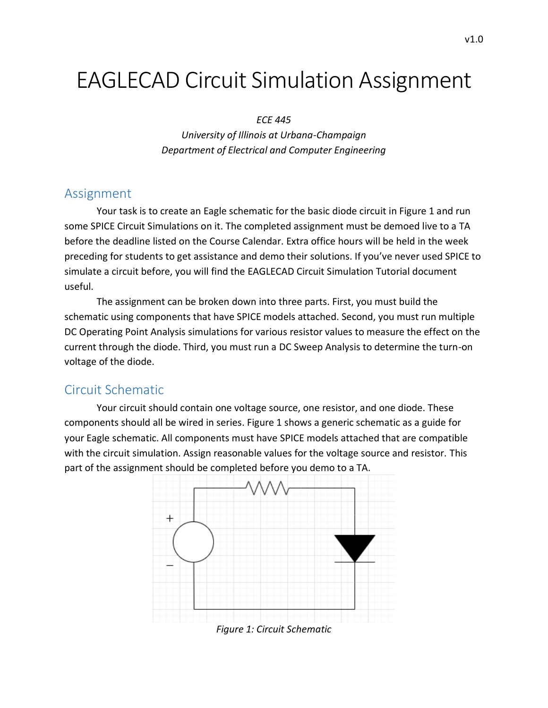# EAGLECAD Circuit Simulation Assignment

#### *ECE 445*

*University of Illinois at Urbana-Champaign Department of Electrical and Computer Engineering*

## Assignment

Your task is to create an Eagle schematic for the basic diode circuit in Figure 1 and run some SPICE Circuit Simulations on it. The completed assignment must be demoed live to a TA before the deadline listed on the Course Calendar. Extra office hours will be held in the week preceding for students to get assistance and demo their solutions. If you've never used SPICE to simulate a circuit before, you will find the EAGLECAD Circuit Simulation Tutorial document useful.

The assignment can be broken down into three parts. First, you must build the schematic using components that have SPICE models attached. Second, you must run multiple DC Operating Point Analysis simulations for various resistor values to measure the effect on the current through the diode. Third, you must run a DC Sweep Analysis to determine the turn-on voltage of the diode.

## Circuit Schematic

Your circuit should contain one voltage source, one resistor, and one diode. These components should all be wired in series. Figure 1 shows a generic schematic as a guide for your Eagle schematic. All components must have SPICE models attached that are compatible with the circuit simulation. Assign reasonable values for the voltage source and resistor. This part of the assignment should be completed before you demo to a TA.



*Figure 1: Circuit Schematic*